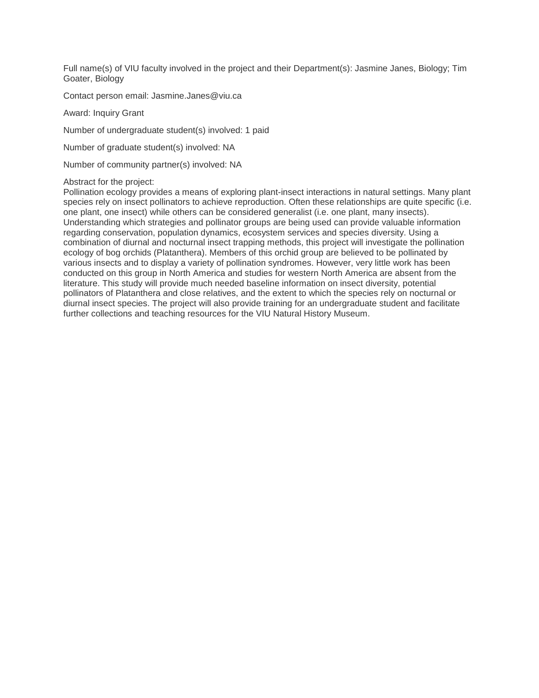Full name(s) of VIU faculty involved in the project and their Department(s): Jasmine Janes, Biology; Tim Goater, Biology

Contact person email: Jasmine.Janes@viu.ca

Award: Inquiry Grant

Number of undergraduate student(s) involved: 1 paid

Number of graduate student(s) involved: NA

Number of community partner(s) involved: NA

#### Abstract for the project:

Pollination ecology provides a means of exploring plant-insect interactions in natural settings. Many plant species rely on insect pollinators to achieve reproduction. Often these relationships are quite specific (i.e. one plant, one insect) while others can be considered generalist (i.e. one plant, many insects). Understanding which strategies and pollinator groups are being used can provide valuable information regarding conservation, population dynamics, ecosystem services and species diversity. Using a combination of diurnal and nocturnal insect trapping methods, this project will investigate the pollination ecology of bog orchids (Platanthera). Members of this orchid group are believed to be pollinated by various insects and to display a variety of pollination syndromes. However, very little work has been conducted on this group in North America and studies for western North America are absent from the literature. This study will provide much needed baseline information on insect diversity, potential pollinators of Platanthera and close relatives, and the extent to which the species rely on nocturnal or diurnal insect species. The project will also provide training for an undergraduate student and facilitate further collections and teaching resources for the VIU Natural History Museum.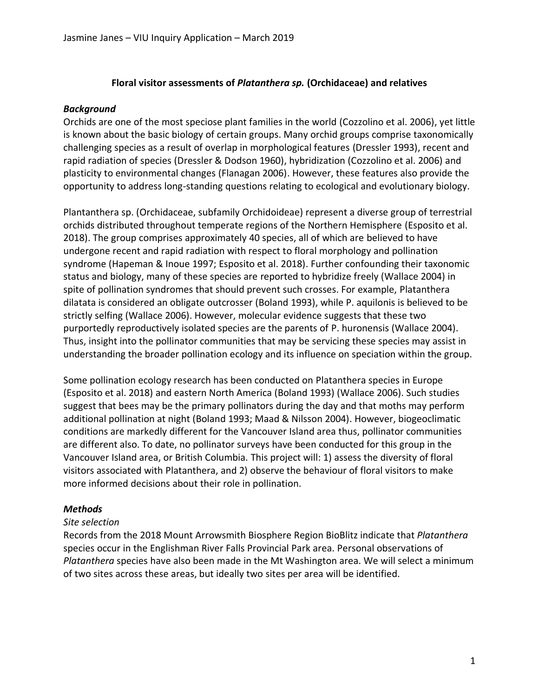#### **Floral visitor assessments of** *Platanthera sp.* **(Orchidaceae) and relatives**

#### *Background*

Orchids are one of the most speciose plant families in the world (Cozzolino et al. 2006), yet little is known about the basic biology of certain groups. Many orchid groups comprise taxonomically challenging species as a result of overlap in morphological features (Dressler 1993), recent and rapid radiation of species (Dressler & Dodson 1960), hybridization (Cozzolino et al. 2006) and plasticity to environmental changes (Flanagan 2006). However, these features also provide the opportunity to address long-standing questions relating to ecological and evolutionary biology.

Plantanthera sp. (Orchidaceae, subfamily Orchidoideae) represent a diverse group of terrestrial orchids distributed throughout temperate regions of the Northern Hemisphere (Esposito et al. 2018). The group comprises approximately 40 species, all of which are believed to have undergone recent and rapid radiation with respect to floral morphology and pollination syndrome (Hapeman & Inoue 1997; Esposito et al. 2018). Further confounding their taxonomic status and biology, many of these species are reported to hybridize freely (Wallace 2004) in spite of pollination syndromes that should prevent such crosses. For example, Platanthera dilatata is considered an obligate outcrosser (Boland 1993), while P. aquilonis is believed to be strictly selfing (Wallace 2006). However, molecular evidence suggests that these two purportedly reproductively isolated species are the parents of P. huronensis (Wallace 2004). Thus, insight into the pollinator communities that may be servicing these species may assist in understanding the broader pollination ecology and its influence on speciation within the group.

Some pollination ecology research has been conducted on Platanthera species in Europe (Esposito et al. 2018) and eastern North America (Boland 1993) (Wallace 2006). Such studies suggest that bees may be the primary pollinators during the day and that moths may perform additional pollination at night (Boland 1993; Maad & Nilsson 2004). However, biogeoclimatic conditions are markedly different for the Vancouver Island area thus, pollinator communities are different also. To date, no pollinator surveys have been conducted for this group in the Vancouver Island area, or British Columbia. This project will: 1) assess the diversity of floral visitors associated with Platanthera, and 2) observe the behaviour of floral visitors to make more informed decisions about their role in pollination.

## *Methods*

#### *Site selection*

Records from the 2018 Mount Arrowsmith Biosphere Region BioBlitz indicate that *Platanthera* species occur in the Englishman River Falls Provincial Park area. Personal observations of *Platanthera* species have also been made in the Mt Washington area. We will select a minimum of two sites across these areas, but ideally two sites per area will be identified.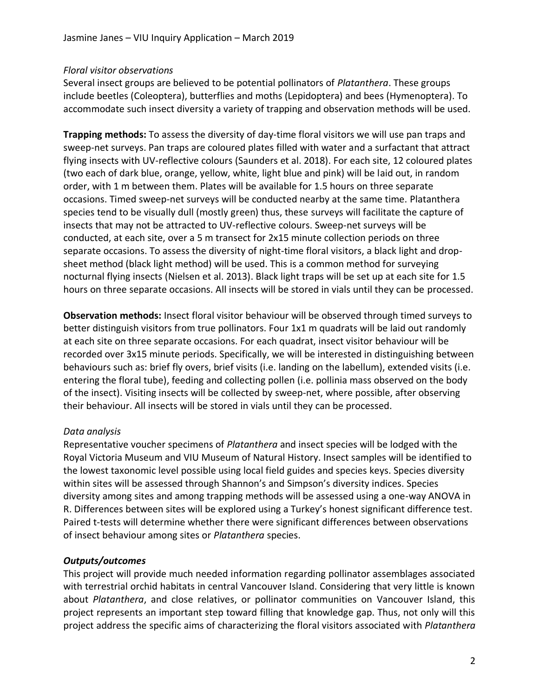### *Floral visitor observations*

Several insect groups are believed to be potential pollinators of *Platanthera*. These groups include beetles (Coleoptera), butterflies and moths (Lepidoptera) and bees (Hymenoptera). To accommodate such insect diversity a variety of trapping and observation methods will be used.

**Trapping methods:** To assess the diversity of day-time floral visitors we will use pan traps and sweep-net surveys. Pan traps are coloured plates filled with water and a surfactant that attract flying insects with UV-reflective colours (Saunders et al. 2018). For each site, 12 coloured plates (two each of dark blue, orange, yellow, white, light blue and pink) will be laid out, in random order, with 1 m between them. Plates will be available for 1.5 hours on three separate occasions. Timed sweep-net surveys will be conducted nearby at the same time. Platanthera species tend to be visually dull (mostly green) thus, these surveys will facilitate the capture of insects that may not be attracted to UV-reflective colours. Sweep-net surveys will be conducted, at each site, over a 5 m transect for 2x15 minute collection periods on three separate occasions. To assess the diversity of night-time floral visitors, a black light and dropsheet method (black light method) will be used. This is a common method for surveying nocturnal flying insects (Nielsen et al. 2013). Black light traps will be set up at each site for 1.5 hours on three separate occasions. All insects will be stored in vials until they can be processed.

**Observation methods:** Insect floral visitor behaviour will be observed through timed surveys to better distinguish visitors from true pollinators. Four 1x1 m quadrats will be laid out randomly at each site on three separate occasions. For each quadrat, insect visitor behaviour will be recorded over 3x15 minute periods. Specifically, we will be interested in distinguishing between behaviours such as: brief fly overs, brief visits (i.e. landing on the labellum), extended visits (i.e. entering the floral tube), feeding and collecting pollen (i.e. pollinia mass observed on the body of the insect). Visiting insects will be collected by sweep-net, where possible, after observing their behaviour. All insects will be stored in vials until they can be processed.

## *Data analysis*

Representative voucher specimens of *Platanthera* and insect species will be lodged with the Royal Victoria Museum and VIU Museum of Natural History. Insect samples will be identified to the lowest taxonomic level possible using local field guides and species keys. Species diversity within sites will be assessed through Shannon's and Simpson's diversity indices. Species diversity among sites and among trapping methods will be assessed using a one-way ANOVA in R. Differences between sites will be explored using a Turkey's honest significant difference test. Paired t-tests will determine whether there were significant differences between observations of insect behaviour among sites or *Platanthera* species.

## *Outputs/outcomes*

This project will provide much needed information regarding pollinator assemblages associated with terrestrial orchid habitats in central Vancouver Island. Considering that very little is known about *Platanthera*, and close relatives, or pollinator communities on Vancouver Island, this project represents an important step toward filling that knowledge gap. Thus, not only will this project address the specific aims of characterizing the floral visitors associated with *Platanthera*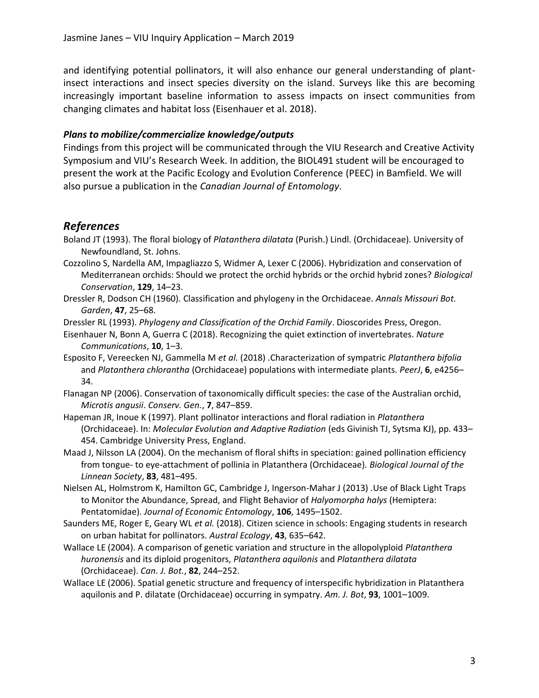and identifying potential pollinators, it will also enhance our general understanding of plantinsect interactions and insect species diversity on the island. Surveys like this are becoming increasingly important baseline information to assess impacts on insect communities from changing climates and habitat loss (Eisenhauer et al. 2018).

#### *Plans to mobilize/commercialize knowledge/outputs*

Findings from this project will be communicated through the VIU Research and Creative Activity Symposium and VIU's Research Week. In addition, the BIOL491 student will be encouraged to present the work at the Pacific Ecology and Evolution Conference (PEEC) in Bamfield. We will also pursue a publication in the *Canadian Journal of Entomology*.

## *References*

- Boland JT (1993). The floral biology of *Platanthera dilatata* (Purish.) Lindl. (Orchidaceae). University of Newfoundland, St. Johns.
- Cozzolino S, Nardella AM, Impagliazzo S, Widmer A, Lexer C (2006). Hybridization and conservation of Mediterranean orchids: Should we protect the orchid hybrids or the orchid hybrid zones? *Biological Conservation*, **129**, 14–23.
- Dressler R, Dodson CH (1960). Classification and phylogeny in the Orchidaceae. *Annals Missouri Bot. Garden*, **47**, 25–68.

Dressler RL (1993). *Phylogeny and Classification of the Orchid Family*. Dioscorides Press, Oregon.

- Eisenhauer N, Bonn A, Guerra C (2018). Recognizing the quiet extinction of invertebrates. *Nature Communications*, **10**, 1–3.
- Esposito F, Vereecken NJ, Gammella M *et al.* (2018) .Characterization of sympatric *Platanthera bifolia* and *Platanthera chlorantha* (Orchidaceae) populations with intermediate plants. *PeerJ*, **6**, e4256– 34.
- Flanagan NP (2006). Conservation of taxonomically difficult species: the case of the Australian orchid, *Microtis angusii*. *Conserv. Gen.*, **7**, 847–859.
- Hapeman JR, Inoue K (1997). Plant pollinator interactions and floral radiation in *Platanthera* (Orchidaceae). In: *Molecular Evolution and Adaptive Radiation* (eds Givinish TJ, Sytsma KJ), pp. 433– 454. Cambridge University Press, England.
- Maad J, Nilsson LA (2004). On the mechanism of floral shifts in speciation: gained pollination efficiency from tongue- to eye-attachment of pollinia in Platanthera (Orchidaceae). *Biological Journal of the Linnean Society*, **83**, 481–495.
- Nielsen AL, Holmstrom K, Hamilton GC, Cambridge J, Ingerson-Mahar J (2013) .Use of Black Light Traps to Monitor the Abundance, Spread, and Flight Behavior of *Halyomorpha halys* (Hemiptera: Pentatomidae). *Journal of Economic Entomology*, **106**, 1495–1502.
- Saunders ME, Roger E, Geary WL *et al.* (2018). Citizen science in schools: Engaging students in research on urban habitat for pollinators. *Austral Ecology*, **43**, 635–642.
- Wallace LE (2004). A comparison of genetic variation and structure in the allopolyploid *Platanthera huronensis* and its diploid progenitors, *Platanthera aquilonis* and *Platanthera dilatata* (Orchidaceae). *Can. J. Bot.*, **82**, 244–252.
- Wallace LE (2006). Spatial genetic structure and frequency of interspecific hybridization in Platanthera aquilonis and P. dilatate (Orchidaceae) occurring in sympatry. *Am. J. Bot*, **93**, 1001–1009.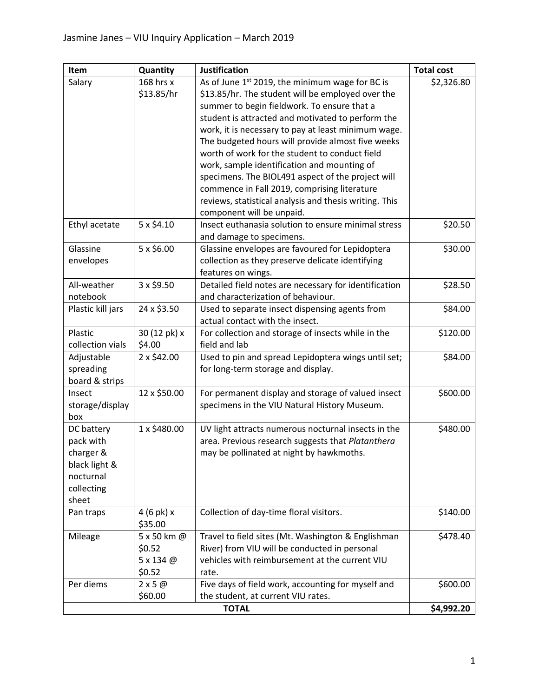| Item                       | Quantity            | <b>Justification</b>                                   | <b>Total cost</b> |
|----------------------------|---------------------|--------------------------------------------------------|-------------------|
| Salary                     | 168 hrs x           | As of June 1st 2019, the minimum wage for BC is        | \$2,326.80        |
|                            | \$13.85/hr          | \$13.85/hr. The student will be employed over the      |                   |
|                            |                     | summer to begin fieldwork. To ensure that a            |                   |
|                            |                     | student is attracted and motivated to perform the      |                   |
|                            |                     | work, it is necessary to pay at least minimum wage.    |                   |
|                            |                     | The budgeted hours will provide almost five weeks      |                   |
|                            |                     | worth of work for the student to conduct field         |                   |
|                            |                     | work, sample identification and mounting of            |                   |
|                            |                     | specimens. The BIOL491 aspect of the project will      |                   |
|                            |                     | commence in Fall 2019, comprising literature           |                   |
|                            |                     | reviews, statistical analysis and thesis writing. This |                   |
|                            |                     | component will be unpaid.                              |                   |
| Ethyl acetate              | $5 \times $4.10$    | Insect euthanasia solution to ensure minimal stress    | \$20.50           |
|                            |                     | and damage to specimens.                               |                   |
| Glassine                   | $5 \times $6.00$    | Glassine envelopes are favoured for Lepidoptera        | \$30.00           |
| envelopes                  |                     | collection as they preserve delicate identifying       |                   |
|                            |                     | features on wings.                                     |                   |
| All-weather                | 3 x \$9.50          | Detailed field notes are necessary for identification  | \$28.50           |
| notebook                   |                     | and characterization of behaviour.                     |                   |
| Plastic kill jars          | 24 x \$3.50         | Used to separate insect dispensing agents from         | \$84.00           |
|                            |                     | actual contact with the insect.                        |                   |
| Plastic                    | 30 (12 pk) x        | For collection and storage of insects while in the     | \$120.00          |
| collection vials           | \$4.00              | field and lab                                          |                   |
| Adjustable                 | 2 x \$42.00         | Used to pin and spread Lepidoptera wings until set;    | \$84.00           |
| spreading                  |                     | for long-term storage and display.                     |                   |
| board & strips             |                     |                                                        |                   |
| Insect                     | 12 x \$50.00        | For permanent display and storage of valued insect     | \$600.00          |
| storage/display            |                     | specimens in the VIU Natural History Museum.           |                   |
| box                        |                     |                                                        |                   |
| DC battery                 | 1 x \$480.00        | UV light attracts numerous nocturnal insects in the    | \$480.00          |
| pack with                  |                     | area. Previous research suggests that Platanthera      |                   |
| charger &<br>black light & |                     | may be pollinated at night by hawkmoths.               |                   |
| nocturnal                  |                     |                                                        |                   |
| collecting                 |                     |                                                        |                   |
| sheet                      |                     |                                                        |                   |
| Pan traps                  | $4(6 \text{ pk})x$  | Collection of day-time floral visitors.                | \$140.00          |
|                            | \$35.00             |                                                        |                   |
| Mileage                    | 5 x 50 km @         | Travel to field sites (Mt. Washington & Englishman     | \$478.40          |
|                            | \$0.52              | River) from VIU will be conducted in personal          |                   |
|                            | 5 x 134 @           | vehicles with reimbursement at the current VIU         |                   |
|                            | \$0.52              | rate.                                                  |                   |
| Per diems                  | $2 \times 5 \omega$ | Five days of field work, accounting for myself and     | \$600.00          |
|                            | \$60.00             | the student, at current VIU rates.                     |                   |
| <b>TOTAL</b>               |                     |                                                        | \$4,992.20        |